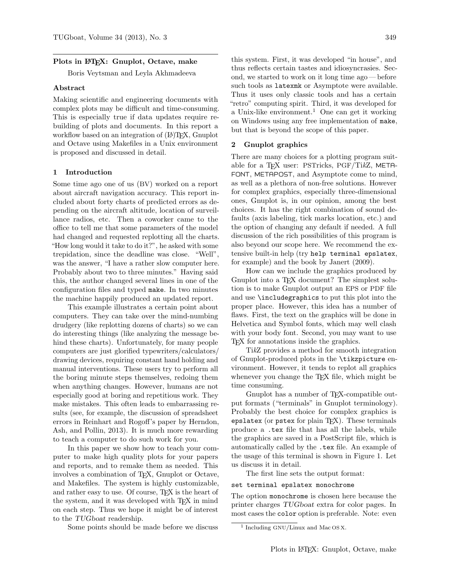## Plots in L<sup>AT</sup>EX: Gnuplot, Octave, make

Boris Veytsman and Leyla Akhmadeeva

## Abstract

Making scientific and engineering documents with complex plots may be difficult and time-consuming. This is especially true if data updates require rebuilding of plots and documents. In this report a workflow based on an integration of (LA)T<sub>EX</sub>, Gnuplot and Octave using Makefiles in a Unix environment is proposed and discussed in detail.

## 1 Introduction

Some time ago one of us (BV) worked on a report about aircraft navigation accuracy. This report included about forty charts of predicted errors as depending on the aircraft altitude, location of surveillance radios, etc. Then a coworker came to the office to tell me that some parameters of the model had changed and requested replotting all the charts. "How long would it take to do it?", he asked with some trepidation, since the deadline was close. "Well", was the answer, "I have a rather slow computer here. Probably about two to three minutes." Having said this, the author changed several lines in one of the configuration files and typed make. In two minutes the machine happily produced an updated report.

This example illustrates a certain point about computers. They can take over the mind-numbing drudgery (like replotting dozens of charts) so we can do interesting things (like analyzing the message behind these charts). Unfortunately, for many people computers are just glorified typewriters/calculators/ drawing devices, requiring constant hand holding and manual interventions. These users try to perform all the boring minute steps themselves, redoing them when anything changes. However, humans are not especially good at boring and repetitious work. They make mistakes. This often leads to embarrassing results (see, for example, the discussion of spreadsheet errors in Reinhart and Rogoff's paper by Herndon, Ash, and Pollin, 2013). It is much more rewarding to teach a computer to do such work for you.

In this paper we show how to teach your computer to make high quality plots for your papers and reports, and to remake them as needed. This involves a combination of TEX, Gnuplot or Octave, and Makefiles. The system is highly customizable, and rather easy to use. Of course, T<sub>F</sub>X is the heart of the system, and it was developed with T<sub>E</sub>X in mind on each step. Thus we hope it might be of interest to the TUGboat readership.

Some points should be made before we discuss

this system. First, it was developed "in house", and thus reflects certain tastes and idiosyncrasies. Second, we started to work on it long time ago — before such tools as latexmk or Asymptote were available. Thus it uses only classic tools and has a certain "retro" computing spirit. Third, it was developed for a Unix-like environment.<sup>1</sup> One can get it working on Windows using any free implementation of make, but that is beyond the scope of this paper.

#### 2 Gnuplot graphics

There are many choices for a plotting program suitable for a TFX user: PSTricks, PGF/TikZ, META-FONT, METAPOST, and Asymptote come to mind, as well as a plethora of non-free solutions. However for complex graphics, especially three-dimensional ones, Gnuplot is, in our opinion, among the best choices. It has the right combination of sound defaults (axis labeling, tick marks location, etc.) and the option of changing any default if needed. A full discussion of the rich possibilities of this program is also beyond our scope here. We recommend the extensive built-in help (try help terminal epslatex, for example) and the book by Janert (2009).

How can we include the graphics produced by Gnuplot into a T<sub>E</sub>X document? The simplest solution is to make Gnuplot output an EPS or PDF file and use \includegraphics to put this plot into the proper place. However, this idea has a number of flaws. First, the text on the graphics will be done in Helvetica and Symbol fonts, which may well clash with your body font. Second, you may want to use TEX for annotations inside the graphics.

TikZ provides a method for smooth integration of Gnuplot-produced plots in the \tikzpicture environment. However, it tends to replot all graphics whenever you change the T<sub>E</sub>X file, which might be time consuming.

Gnuplot has a number of TEX-compatible output formats ("terminals" in Gnuplot terminology). Probably the best choice for complex graphics is epslatex (or pstex for plain TFX). These terminals produce a .tex file that has all the labels, while the graphics are saved in a PostScript file, which is automatically called by the .tex file. An example of the usage of this terminal is shown in Figure 1. Let us discuss it in detail.

The first line sets the output format:

## set terminal epslatex monochrome

The option monochrome is chosen here because the printer charges TUGboat extra for color pages. In most cases the color option is preferable. Note: even

<sup>1</sup> Including GNU/Linux and Mac OS X.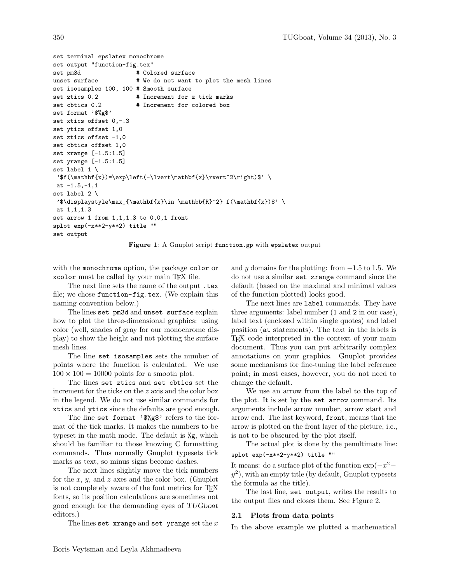```
set terminal epslatex monochrome
set output "function-fig.tex"
set pm3d # Colored surface
unset surface \qquad \qquad \# We do not want to plot the mesh lines
set isosamples 100, 100 # Smooth surface
set ztics 0.2 # Increment for z tick marks
set cbtics 0.2 # Increment for colored box
set format '$%g$'
set xtics offset 0,-.3
set ytics offset 1,0
set ztics offset -1,0
set cbtics offset 1,0
set xrange [-1.5:1.5]
set yrange [-1.5:1.5]
set label 1 \
'$f(\mathbf{x})=\exp\left(-\lvert\mathbf{x}\rvert^2\right)$' \
at -1.5,-1,1set label 2 \
'$\displaystyle\max_{\mathbf{x}\in \mathbb{R}^2} f(\mathbf{x})$' \
at 1,1,1.3
set arrow 1 from 1,1,1.3 to 0,0,1 front
splot exp(-x**2-y**2) title ""
set output
```


with the monochrome option, the package color or xcolor must be called by your main TFX file.

The next line sets the name of the output .tex file; we chose function-fig.tex. (We explain this naming convention below.)

The lines set pm3d and unset surface explain how to plot the three-dimensional graphics: using color (well, shades of gray for our monochrome display) to show the height and not plotting the surface mesh lines.

The line set isosamples sets the number of points where the function is calculated. We use  $100 \times 100 = 10000$  points for a smooth plot.

The lines set ztics and set cbtics set the increment for the ticks on the z axis and the color box in the legend. We do not use similar commands for xtics and ytics since the defaults are good enough.

The line set format '\$%g\$' refers to the format of the tick marks. It makes the numbers to be typeset in the math mode. The default is %g, which should be familiar to those knowing C formatting commands. Thus normally Gnuplot typesets tick marks as text, so minus signs become dashes.

The next lines slightly move the tick numbers for the x, y, and z axes and the color box. (Gnuplot is not completely aware of the font metrics for T<sub>E</sub>X fonts, so its position calculations are sometimes not good enough for the demanding eyes of TUGboat editors.)

The lines set xrange and set yrange set the  $x$ 

and y domains for the plotting: from  $-1.5$  to 1.5. We do not use a similar set zrange command since the default (based on the maximal and minimal values of the function plotted) looks good.

The next lines are label commands. They have three arguments: label number (1 and 2 in our case), label text (enclosed within single quotes) and label position (at statements). The text in the labels is TEX code interpreted in the context of your main document. Thus you can put arbitrarily complex annotations on your graphics. Gnuplot provides some mechanisms for fine-tuning the label reference point; in most cases, however, you do not need to change the default.

We use an arrow from the label to the top of the plot. It is set by the set arrow command. Its arguments include arrow number, arrow start and arrow end. The last keyword, front, means that the arrow is plotted on the front layer of the picture, i.e., is not to be obscured by the plot itself.

The actual plot is done by the penultimate line: splot exp(-x\*\*2-y\*\*2) title ""

It means: do a surface plot of the function  $\exp(-x^2$  $y^2$ ), with an empty title (by default, Gnuplot typesets the formula as the title).

The last line, set output, writes the results to the output files and closes them. See Figure 2.

#### 2.1 Plots from data points

In the above example we plotted a mathematical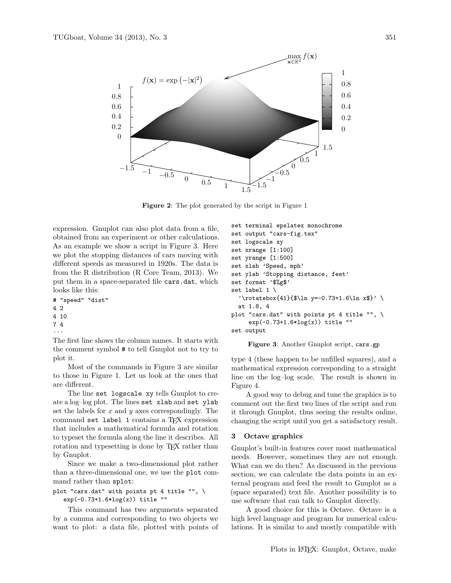

Figure 2: The plot generated by the script in Figure 1

expression. Gnuplot can also plot data from a file, obtained from an experiment or other calculations. As an example we show a script in Figure 3. Here we plot the stopping distances of cars moving with different speeds as measured in 1920s. The data is from the R distribution (R Core Team, 2013). We put them in a space-separated file cars.dat, which looks like this:

# "speed" "dist"

4 2

```
4 10
```

```
7 4
```
...

The first line shows the column names. It starts with the comment symbol # to tell Gnuplot not to try to plot it.

Most of the commands in Figure 3 are similar to those in Figure 1. Let us look at the ones that are different.

The line set logscale xy tells Gnuplot to create a log–log plot. The lines set xlab and set ylab set the labels for  $x$  and  $y$  axes correspondingly. The command set label 1 contains a TEX expression that includes a mathematical formula and rotation to typeset the formula along the line it describes. All rotation and typesetting is done by TEX rather than by Gnuplot.

Since we make a two-dimensional plot rather than a three-dimensional one, we use the plot command rather than splot:

# plot "cars.dat" with points pt 4 title "", \ exp(-0.73+1.6\*log(x)) title ""

This command has two arguments separated by a comma and corresponding to two objects we want to plot: a data file, plotted with points of

```
set terminal epslatex monochrome
set output "cars-fig.tex"
set logscale xy
set xrange [1:100]
set yrange [1:500]
set xlab 'Speed, mph'
set ylab 'Stopping distance, feet'
set format '$%g$'
set label 1 \setminus'\rotatebox{41}{ y=-0.73+1.6\ln x$}' \
  at 1.8, 4
plot "cars.dat" with points pt 4 title "", \
     exp(-0.73+1.6*log(x)) title ""
set output
```


type 4 (these happen to be unfilled squares), and a mathematical expression corresponding to a straight line on the log–log scale. The result is shown in Figure 4.

A good way to debug and tune the graphics is to comment out the first two lines of the script and run it through Gnuplot, thus seeing the results online, changing the script until you get a satisfactory result.

## 3 Octave graphics

Gnuplot's built-in features cover most mathematical needs. However, sometimes they are not enough. What can we do then? As discussed in the previous section, we can calculate the data points in an external program and feed the result to Gnuplot as a (space separated) text file. Another possibility is to use software that can talk to Gnuplot directly.

A good choice for this is Octave. Octave is a high level language and program for numerical calculations. It is similar to and mostly compatible with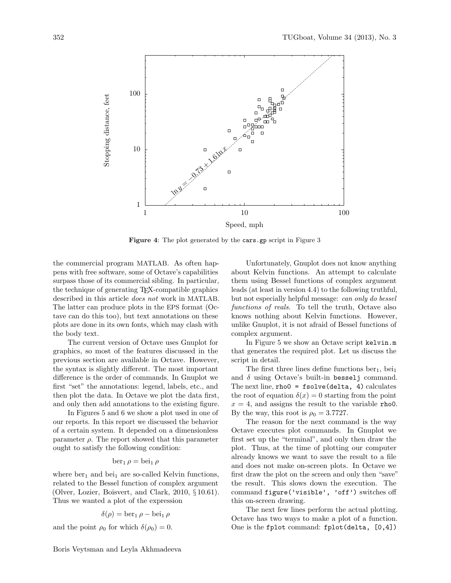

Figure 4: The plot generated by the cars.gp script in Figure 3

the commercial program MATLAB. As often happens with free software, some of Octave's capabilities surpass those of its commercial sibling. In particular, the technique of generating TEX-compatible graphics described in this article does not work in MATLAB. The latter can produce plots in the EPS format (Octave can do this too), but text annotations on these plots are done in its own fonts, which may clash with the body text.

The current version of Octave uses Gnuplot for graphics, so most of the features discussed in the previous section are available in Octave. However, the syntax is slightly different. The most important difference is the order of commands. In Gnuplot we first "set" the annotations: legend, labels, etc., and then plot the data. In Octave we plot the data first, and only then add annotations to the existing figure.

In Figures 5 and 6 we show a plot used in one of our reports. In this report we discussed the behavior of a certain system. It depended on a dimensionless parameter  $\rho$ . The report showed that this parameter ought to satisfy the following condition:

## $ber_1 \rho = bei_1 \rho$

where  $ber_1$  and  $bei_1$  are so-called Kelvin functions, related to the Bessel function of complex argument (Olver, Lozier, Boisvert, and Clark, 2010, § 10.61). Thus we wanted a plot of the expression

$$
\delta(\rho) = \operatorname{ber}_1 \rho - \operatorname{bei}_1 \rho
$$

and the point  $\rho_0$  for which  $\delta(\rho_0) = 0$ .

Boris Veytsman and Leyla Akhmadeeva

Unfortunately, Gnuplot does not know anything about Kelvin functions. An attempt to calculate them using Bessel functions of complex argument leads (at least in version 4.4) to the following truthful, but not especially helpful message: can only do bessel functions of reals. To tell the truth, Octave also knows nothing about Kelvin functions. However, unlike Gnuplot, it is not afraid of Bessel functions of complex argument.

In Figure 5 we show an Octave script kelvin.m that generates the required plot. Let us discuss the script in detail.

The first three lines define functions  $ber_1$ ,  $bei_1$ and  $\delta$  using Octave's built-in besselj command. The next line,  $rho0 = fsolve(delta, 4)$  calculates the root of equation  $\delta(x) = 0$  starting from the point  $x = 4$ , and assigns the result to the variable rhoo. By the way, this root is  $\rho_0 = 3.7727$ .

The reason for the next command is the way Octave executes plot commands. In Gnuplot we first set up the "terminal", and only then draw the plot. Thus, at the time of plotting our computer already knows we want to save the result to a file and does not make on-screen plots. In Octave we first draw the plot on the screen and only then "save" the result. This slows down the execution. The command figure('visible', 'off') switches off this on-screen drawing.

The next few lines perform the actual plotting. Octave has two ways to make a plot of a function. One is the fplot command: fplot(delta, [0,4])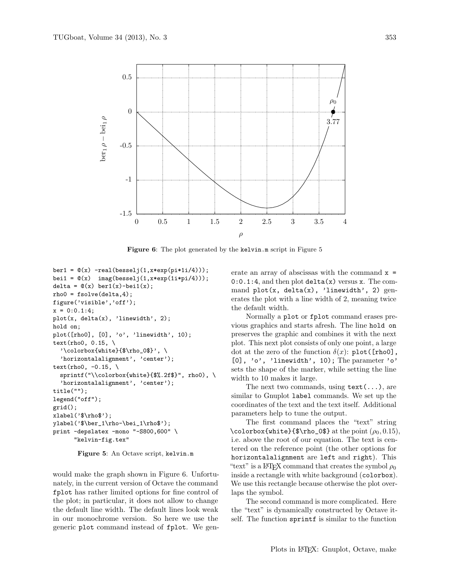

Figure 6: The plot generated by the kelvin.m script in Figure 5

```
ber1 = \mathcal{Q}(x) - real(besselj(1, x*exp(pi*1i/4)));
bei1 = \mathfrak{C}(x) imag(besselj(1,x*exp(1i*pi/4)));
delta = \mathfrak{O}(x) ber1(x)-bei1(x);
rho0 = fsolve(delta, 4);figure('visible','off');
x = 0:0.1:4;plot(x, delta(x), 'linewidth', 2);
hold on;
plot([rho0], [0], 'o', 'linewidth', 10);
text(rho0, 0.15, \
  '\colorbox{white}{$\rho_0$}', \
  'horizontalalignment', 'center');
text(rho0, -0.15, \
  sprintf("\\colorbox{|}tithite}{; 2f$}", rho0), \
  'horizontalalignment', 'center');
title("");
legend("off");
grid();
xlabel('\\h{tho*');
ylabel('$\ber_1\rho-\bei_1\rho$');
print -depslatex -mono "-S800,600" \
      "kelvin-fig.tex"
```
Figure 5: An Octave script, kelvin.m

would make the graph shown in Figure 6. Unfortunately, in the current version of Octave the command fplot has rather limited options for fine control of the plot; in particular, it does not allow to change the default line width. The default lines look weak in our monochrome version. So here we use the generic plot command instead of fplot. We generate an array of abscissas with the command  $x =$  $0:0.1:4$ , and then plot delta $(x)$  versus x. The command  $plot(x, delta(x), 'linear'$ erates the plot with a line width of 2, meaning twice the default width.

Normally a plot or fplot command erases previous graphics and starts afresh. The line hold on preserves the graphic and combines it with the next plot. This next plot consists of only one point, a large dot at the zero of the function  $\delta(x)$ : plot([rho0], [0], 'o', 'linewidth', 10); The parameter 'o' sets the shape of the marker, while setting the line width to 10 makes it large.

The next two commands, using  $text(\ldots)$ , are similar to Gnuplot label commands. We set up the coordinates of the text and the text itself. Additional parameters help to tune the output.

The first command places the "text" string \colorbox{white}{\$\rho\_0\$} at the point  $(\rho_0, 0.15)$ , i.e. above the root of our equation. The text is centered on the reference point (the other options for horizontalalignment are left and right). This "text" is a LAT<sub>F</sub>X command that creates the symbol  $\rho_0$ inside a rectangle with white background (colorbox). We use this rectangle because otherwise the plot overlaps the symbol.

The second command is more complicated. Here the "text" is dynamically constructed by Octave itself. The function sprintf is similar to the function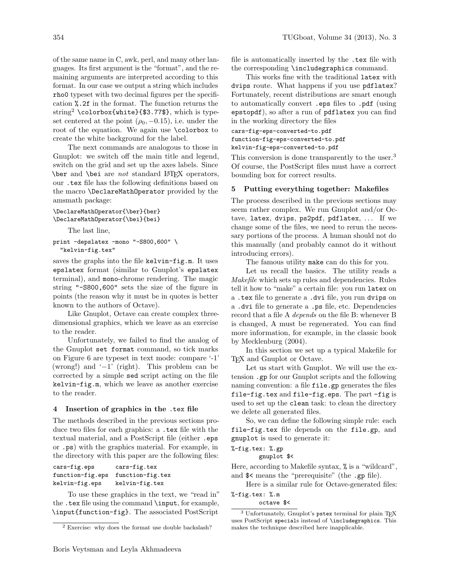of the same name in C, awk, perl, and many other languages. Its first argument is the "format", and the remaining arguments are interpreted according to this format. In our case we output a string which includes rho0 typeset with two decimal figures per the specification %.2f in the format. The function returns the string<sup>2</sup> \colorbox{white}{\$3.77\$}, which is typeset centered at the point  $(\rho_0, -0.15)$ , i.e. under the root of the equation. We again use \colorbox to create the white background for the label.

The next commands are analogous to those in Gnuplot: we switch off the main title and legend, switch on the grid and set up the axes labels. Since \ber and \bei are not standard LATEX operators, our .tex file has the following definitions based on the macro \DeclareMathOperator provided by the amsmath package:

```
\DeclareMathOperator{\ber}{ber}
\DeclareMathOperator{\bei}{bei}
```
The last line,

```
print -depslatex -mono "-S800,600" \
  "kelvin-fig.tex"
```
saves the graphs into the file kelvin-fig.m. It uses epslatex format (similar to Gnuplot's epslatex terminal), and mono-chrome rendering. The magic string "-S800,600" sets the size of the figure in points (the reason why it must be in quotes is better known to the authors of Octave).

Like Gnuplot, Octave can create complex threedimensional graphics, which we leave as an exercise to the reader.

Unfortunately, we failed to find the analog of the Gnuplot set format command, so tick marks on Figure 6 are typeset in text mode: compare '-1' (wrong!) and '−1' (right). This problem can be corrected by a simple sed script acting on the file kelvin-fig.m, which we leave as another exercise to the reader.

### 4 Insertion of graphics in the .tex file

The methods described in the previous sections produce two files for each graphics: a .tex file with the textual material, and a PostScript file (either .eps or .ps) with the graphics material. For example, in the directory with this paper are the following files:

| cars-fig.eps     | cars-fig.tex     |
|------------------|------------------|
| function-fig.eps | function-fig.tex |
| kelvin-fig.eps   | kelvin-fig.tex   |

To use these graphics in the text, we "read in" the .tex file using the command \input, for example, \input{function-fig}. The associated PostScript file is automatically inserted by the .tex file with the corresponding \includegraphics command.

This works fine with the traditional latex with dvips route. What happens if you use pdflatex? Fortunately, recent distributions are smart enough to automatically convert .eps files to .pdf (using epstopdf), so after a run of pdflatex you can find in the working directory the files

```
cars-fig-eps-converted-to.pdf
```
function-fig-eps-converted-to.pdf

kelvin-fig-eps-converted-to.pdf

This conversion is done transparently to the user.<sup>3</sup> Of course, the PostScript files must have a correct bounding box for correct results.

## 5 Putting everything together: Makefiles

The process described in the previous sections may seem rather complex. We run Gnuplot and/or Octave, latex, dvips, ps2pdf, pdflatex, ... If we change some of the files, we need to rerun the necessary portions of the process. A human should not do this manually (and probably cannot do it without introducing errors).

The famous utility make can do this for you.

Let us recall the basics. The utility reads a Makefile which sets up rules and dependencies. Rules tell it how to "make" a certain file: you run latex on a .tex file to generate a .dvi file, you run dvips on a .dvi file to generate a .ps file, etc. Dependencies record that a file A depends on the file B: whenever B is changed, A must be regenerated. You can find more information, for example, in the classic book by Mecklenburg (2004).

In this section we set up a typical Makefile for TEX and Gnuplot or Octave.

Let us start with Gnuplot. We will use the extension .gp for our Gnuplot scripts and the following naming convention: a file file.gp generates the files file-fig.tex and file-fig.eps. The part -fig is used to set up the clean task: to clean the directory we delete all generated files.

So, we can define the following simple rule: each file-fig.tex file depends on the file.gp, and gnuplot is used to generate it:

%-fig.tex: %.gp

gnuplot \$<

Here, according to Makefile syntax, % is a "wildcard", and \$< means the "prerequisite" (the .gp file).

Here is a similar rule for Octave-generated files: %-fig.tex: %.m

octave \$<

<sup>2</sup> Exercise: why does the format use double backslash?

<sup>3</sup> Unfortunately, Gnuplot's pstex terminal for plain TEX uses PostScript specials instead of \includegraphics. This makes the technique described here inapplicable.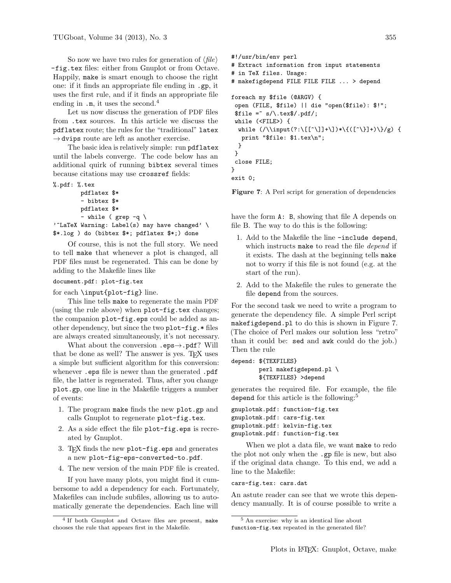So now we have two rules for generation of  $\langle file \rangle$ -fig.tex files: either from Gnuplot or from Octave. Happily, make is smart enough to choose the right one: if it finds an appropriate file ending in .gp, it uses the first rule, and if it finds an appropriate file ending in  $\cdot$ m, it uses the second.<sup>4</sup>

Let us now discuss the generation of PDF files from .tex sources. In this article we discuss the pdflatex route; the rules for the "traditional" latex  $\rightarrow$  dvips route are left as another exercise.

The basic idea is relatively simple: run pdflatex until the labels converge. The code below has an additional quirk of running bibtex several times because citations may use crossref fields:

```
%.pdf: %.tex
        pdflatex $*
        - bibtex $*
```

```
pdflatex $*
          - while ( \text{grey } -q \setminus'<sup>^</sup>LaTeX Warning: Label(s) may have changed' \
$*.log ) do (bibtex $*; pdflatex $*;) done
```
Of course, this is not the full story. We need to tell make that whenever a plot is changed, all PDF files must be regenerated. This can be done by adding to the Makefile lines like

### document.pdf: plot-fig.tex

for each \input{plot-fig} line.

This line tells make to regenerate the main PDF (using the rule above) when plot-fig.tex changes; the companion plot-fig.eps could be added as another dependency, but since the two plot-fig.\* files are always created simultaneously, it's not necessary.

What about the conversion  $.\texttt{eps}\rightarrow \texttt{pdf}$ ? Will that be done as well? The answer is yes. TEX uses a simple but sufficient algorithm for this conversion: whenever .eps file is newer than the generated .pdf file, the latter is regenerated. Thus, after you change plot.gp, one line in the Makefile triggers a number of events:

- 1. The program make finds the new plot.gp and calls Gnuplot to regenerate plot-fig.tex.
- 2. As a side effect the file plot-fig.eps is recreated by Gnuplot.
- 3. TEX finds the new plot-fig.eps and generates a new plot-fig-eps-converted-to.pdf.
- 4. The new version of the main PDF file is created.

If you have many plots, you might find it cumbersome to add a dependency for each. Fortunately, Makefiles can include subfiles, allowing us to automatically generate the dependencies. Each line will

```
#!/usr/bin/env perl
# Extract information from input statements
# in TeX files. Usage:
# makefigdepend FILE FILE FILE ... > depend
foreach my $file (@ARGV) {
open (FILE, $file) || die "open($file): $!";
$file =^* s/\.\text{tex}},\\
while (<FILE>) {
 while (\lambda)input(?\; \[[\^]\!] + \]\* \{([\^]\!] + \})\/g) {
  print "$file: $1.tex\n";
 }
}
close FILE;
}
```
exit 0;

Figure 7: A Perl script for generation of dependencies

have the form A: B, showing that file A depends on file B. The way to do this is the following:

- 1. Add to the Makefile the line -include depend, which instructs make to read the file *depend* if it exists. The dash at the beginning tells make not to worry if this file is not found (e.g. at the start of the run).
- 2. Add to the Makefile the rules to generate the file depend from the sources.

For the second task we need to write a program to generate the dependency file. A simple Perl script makefigdepend.pl to do this is shown in Figure 7. (The choice of Perl makes our solution less "retro" than it could be: sed and awk could do the job.) Then the rule

```
depend: ${TEXFILES}
```
perl makefigdepend.pl \ \${TEXFILES} >depend

generates the required file. For example, the file depend for this article is the following:<sup>5</sup>

```
gnuplotmk.pdf: function-fig.tex
gnuplotmk.pdf: cars-fig.tex
gnuplotmk.pdf: kelvin-fig.tex
gnuplotmk.pdf: function-fig.tex
```
When we plot a data file, we want make to redo the plot not only when the .gp file is new, but also if the original data change. To this end, we add a line to the Makefile:

cars-fig.tex: cars.dat

An astute reader can see that we wrote this dependency manually. It is of course possible to write a

<sup>4</sup> If both Gnuplot and Octave files are present, make chooses the rule that appears first in the Makefile.

<sup>5</sup> An exercise: why is an identical line about

function-fig.tex repeated in the generated file?